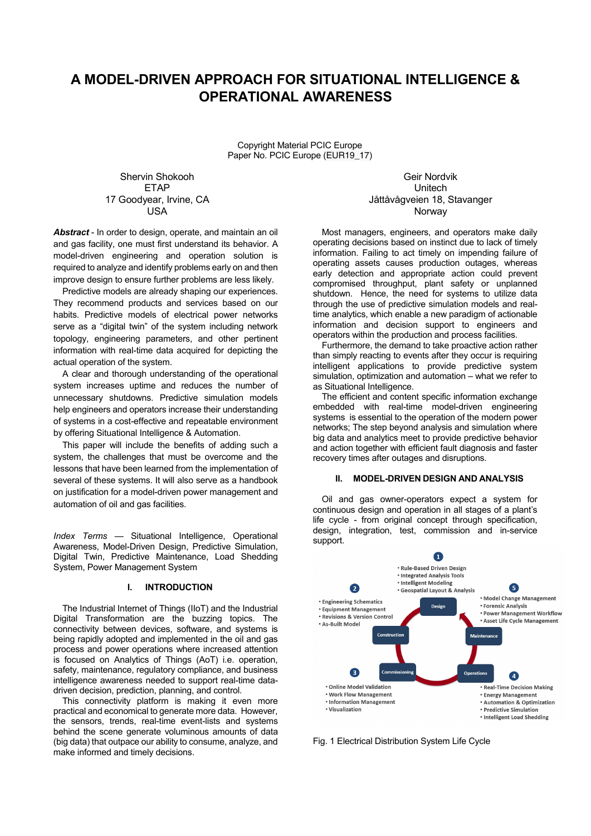# **A MODEL-DRIVEN APPROACH FOR SITUATIONAL INTELLIGENCE & OPERATIONAL AWARENESS**

Copyright Material PCIC Europe Paper No. PCIC Europe (EUR19\_17)

Shervin Shokooh Geir Nordvik

*Abstract* - In order to design, operate, and maintain an oil and gas facility, one must first understand its behavior. A model-driven engineering and operation solution is required to analyze and identify problems early on and then improve design to ensure further problems are less likely.

Predictive models are already shaping our experiences. They recommend products and services based on our habits. Predictive models of electrical power networks serve as a "digital twin" of the system including network topology, engineering parameters, and other pertinent information with real-time data acquired for depicting the actual operation of the system.

A clear and thorough understanding of the operational system increases uptime and reduces the number of unnecessary shutdowns. Predictive simulation models help engineers and operators increase their understanding of systems in a cost-effective and repeatable environment by offering Situational Intelligence & Automation.

This paper will include the benefits of adding such a system, the challenges that must be overcome and the lessons that have been learned from the implementation of several of these systems. It will also serve as a handbook on justification for a model-driven power management and automation of oil and gas facilities.

*Index Terms* — Situational Intelligence, Operational Awareness, Model-Driven Design, Predictive Simulation, Digital Twin, Predictive Maintenance, Load Shedding System, Power Management System

#### **I. INTRODUCTION**

The Industrial Internet of Things (IIoT) and the Industrial Digital Transformation are the buzzing topics. The connectivity between devices, software, and systems is being rapidly adopted and implemented in the oil and gas process and power operations where increased attention is focused on Analytics of Things (AoT) i.e. operation, safety, maintenance, regulatory compliance, and business intelligence awareness needed to support real-time datadriven decision, prediction, planning, and control.

This connectivity platform is making it even more practical and economical to generate more data. However, the sensors, trends, real-time event-lists and systems behind the scene generate voluminous amounts of data (big data) that outpace our ability to consume, analyze, and make informed and timely decisions.

## ETAP United Number of the United Number of the United Number of the United Number of the United Number of the U 17 Goodyear, Irvine, CA Jåttåvågveien 18, Stavanger USA Norway

Most managers, engineers, and operators make daily operating decisions based on instinct due to lack of timely information. Failing to act timely on impending failure of operating assets causes production outages, whereas early detection and appropriate action could prevent compromised throughput, plant safety or unplanned shutdown. Hence, the need for systems to utilize data through the use of predictive simulation models and realtime analytics, which enable a new paradigm of actionable information and decision support to engineers and operators within the production and process facilities.

Furthermore, the demand to take proactive action rather than simply reacting to events after they occur is requiring intelligent applications to provide predictive system simulation, optimization and automation – what we refer to as Situational Intelligence.

The efficient and content specific information exchange embedded with real-time model-driven engineering systems is essential to the operation of the modern power networks; The step beyond analysis and simulation where big data and analytics meet to provide predictive behavior and action together with efficient fault diagnosis and faster recovery times after outages and disruptions.

#### **II. MODEL-DRIVEN DESIGN AND ANALYSIS**

Oil and gas owner-operators expect a system for continuous design and operation in all stages of a plant's life cycle - from original concept through specification, design, integration, test, commission and in-service support.



Fig. 1 Electrical Distribution System Life Cycle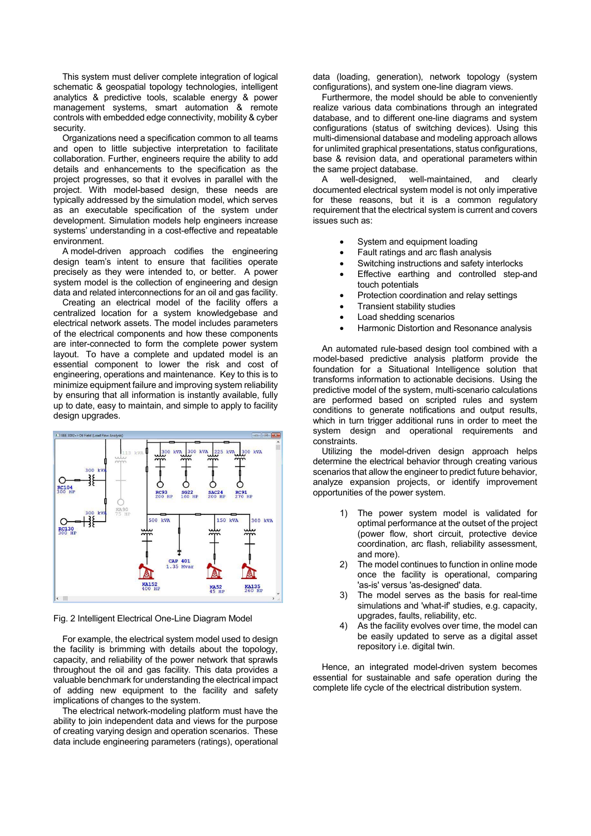This system must deliver complete integration of logical schematic & geospatial topology technologies, intelligent analytics & predictive tools, scalable energy & power management systems, smart automation & remote controls with embedded edge connectivity, mobility & cyber security.

Organizations need a specification common to all teams and open to little subjective interpretation to facilitate collaboration. Further, engineers require the ability to add details and enhancements to the specification as the project progresses, so that it evolves in parallel with the project. With model-based design, these needs are typically addressed by the simulation model, which serves as an executable specification of the system under development. Simulation models help engineers increase systems' understanding in a cost-effective and repeatable environment.

A model-driven approach codifies the engineering design team's intent to ensure that facilities operate precisely as they were intended to, or better. A power system model is the collection of engineering and design data and related interconnections for an oil and gas facility.

Creating an electrical model of the facility offers a centralized location for a system knowledgebase and electrical network assets. The model includes parameters of the electrical components and how these components are inter-connected to form the complete power system layout. To have a complete and updated model is an essential component to lower the risk and cost of engineering, operations and maintenance. Key to this is to minimize equipment failure and improving system reliability by ensuring that all information is instantly available, fully up to date, easy to maintain, and simple to apply to facility design upgrades.



Fig. 2 Intelligent Electrical One-Line Diagram Model

For example, the electrical system model used to design the facility is brimming with details about the topology, capacity, and reliability of the power network that sprawls throughout the oil and gas facility. This data provides a valuable benchmark for understanding the electrical impact of adding new equipment to the facility and safety implications of changes to the system.

The electrical network-modeling platform must have the ability to join independent data and views for the purpose of creating varying design and operation scenarios. These data include engineering parameters (ratings), operational data (loading, generation), network topology (system configurations), and system one-line diagram views.

Furthermore, the model should be able to conveniently realize various data combinations through an integrated database, and to different one-line diagrams and system configurations (status of switching devices). Using this multi-dimensional database and modeling approach allows for unlimited graphical presentations, status configurations, base & revision data, and operational parameters within the same project database.

A well-designed, well-maintained, and clearly documented electrical system model is not only imperative for these reasons, but it is a common regulatory requirement that the electrical system is current and covers issues such as:

- System and equipment loading
- Fault ratings and arc flash analysis
- Switching instructions and safety interlocks
- Effective earthing and controlled step-and touch potentials
- Protection coordination and relay settings
- Transient stability studies
- Load shedding scenarios
- Harmonic Distortion and Resonance analysis

An automated rule-based design tool combined with a model-based predictive analysis platform provide the foundation for a Situational Intelligence solution that transforms information to actionable decisions. Using the predictive model of the system, multi-scenario calculations are performed based on scripted rules and system conditions to generate notifications and output results, which in turn trigger additional runs in order to meet the system design and operational requirements and constraints.

Utilizing the model-driven design approach helps determine the electrical behavior through creating various scenarios that allow the engineer to predict future behavior, analyze expansion projects, or identify improvement opportunities of the power system.

- 1) The power system model is validated for optimal performance at the outset of the project (power flow, short circuit, protective device coordination, arc flash, reliability assessment, and more).
- 2) The model continues to function in online mode once the facility is operational, comparing 'as-is' versus 'as-designed' data.
- 3) The model serves as the basis for real-time simulations and 'what-if' studies, e.g. capacity, upgrades, faults, reliability, etc.
- 4) As the facility evolves over time, the model can be easily updated to serve as a digital asset repository i.e. digital twin.

Hence, an integrated model-driven system becomes essential for sustainable and safe operation during the complete life cycle of the electrical distribution system.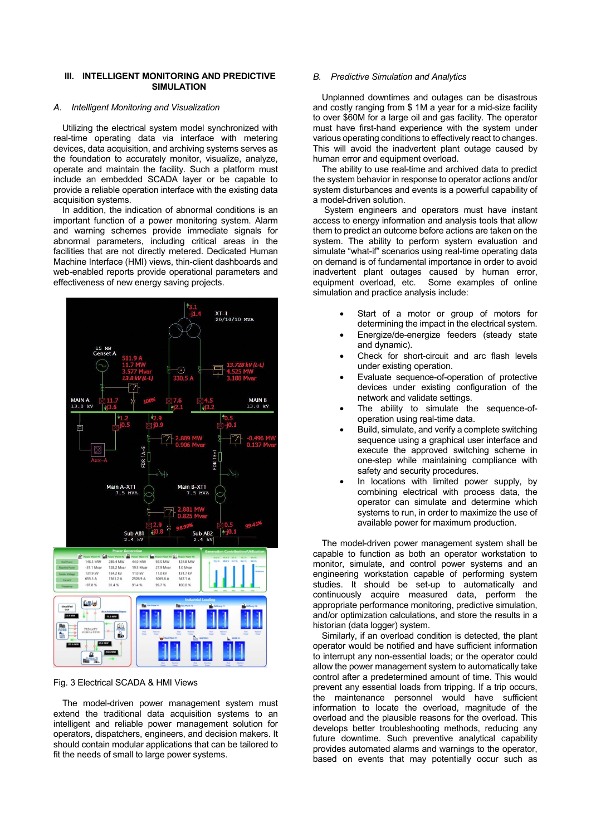## **III. INTELLIGENT MONITORING AND PREDICTIVE SIMULATION**

#### *A. Intelligent Monitoring and Visualization*

Utilizing the electrical system model synchronized with real-time operating data via interface with metering devices, data acquisition, and archiving systems serves as the foundation to accurately monitor, visualize, analyze, operate and maintain the facility. Such a platform must include an embedded SCADA layer or be capable to provide a reliable operation interface with the existing data acquisition systems.

In addition, the indication of abnormal conditions is an important function of a power monitoring system. Alarm and warning schemes provide immediate signals for abnormal parameters, including critical areas in the facilities that are not directly metered. Dedicated Human Machine Interface (HMI) views, thin-client dashboards and web-enabled reports provide operational parameters and effectiveness of new energy saving projects.



Fig. 3 Electrical SCADA & HMI Views

The model-driven power management system must extend the traditional data acquisition systems to an intelligent and reliable power management solution for operators, dispatchers, engineers, and decision makers. It should contain modular applications that can be tailored to fit the needs of small to large power systems.

## *B. Predictive Simulation and Analytics*

Unplanned downtimes and outages can be disastrous and costly ranging from \$ 1M a year for a mid-size facility to over \$60M for a large oil and gas facility. The operator must have first-hand experience with the system under various operating conditions to effectively react to changes. This will avoid the inadvertent plant outage caused by human error and equipment overload.

The ability to use real-time and archived data to predict the system behavior in response to operator actions and/or system disturbances and events is a powerful capability of a model-driven solution.

 System engineers and operators must have instant access to energy information and analysis tools that allow them to predict an outcome before actions are taken on the system. The ability to perform system evaluation and simulate "what-if" scenarios using real-time operating data on demand is of fundamental importance in order to avoid inadvertent plant outages caused by human error, equipment overload, etc. Some examples of online simulation and practice analysis include:

- Start of a motor or group of motors for determining the impact in the electrical system.
- Energize/de-energize feeders (steady state and dynamic).
- Check for short-circuit and arc flash levels under existing operation.
- Evaluate sequence-of-operation of protective devices under existing configuration of the network and validate settings.
- The ability to simulate the sequence-ofoperation using real-time data.
- Build, simulate, and verify a complete switching sequence using a graphical user interface and execute the approved switching scheme in one-step while maintaining compliance with safety and security procedures.
- In locations with limited power supply, by combining electrical with process data, the operator can simulate and determine which systems to run, in order to maximize the use of available power for maximum production.

The model-driven power management system shall be capable to function as both an operator workstation to monitor, simulate, and control power systems and an engineering workstation capable of performing system studies. It should be set-up to automatically and continuously acquire measured data, perform the appropriate performance monitoring, predictive simulation, and/or optimization calculations, and store the results in a historian (data logger) system.

Similarly, if an overload condition is detected, the plant operator would be notified and have sufficient information to interrupt any non-essential loads; or the operator could allow the power management system to automatically take control after a predetermined amount of time. This would prevent any essential loads from tripping. If a trip occurs, the maintenance personnel would have sufficient information to locate the overload, magnitude of the overload and the plausible reasons for the overload. This develops better troubleshooting methods, reducing any future downtime. Such preventive analytical capability provides automated alarms and warnings to the operator, based on events that may potentially occur such as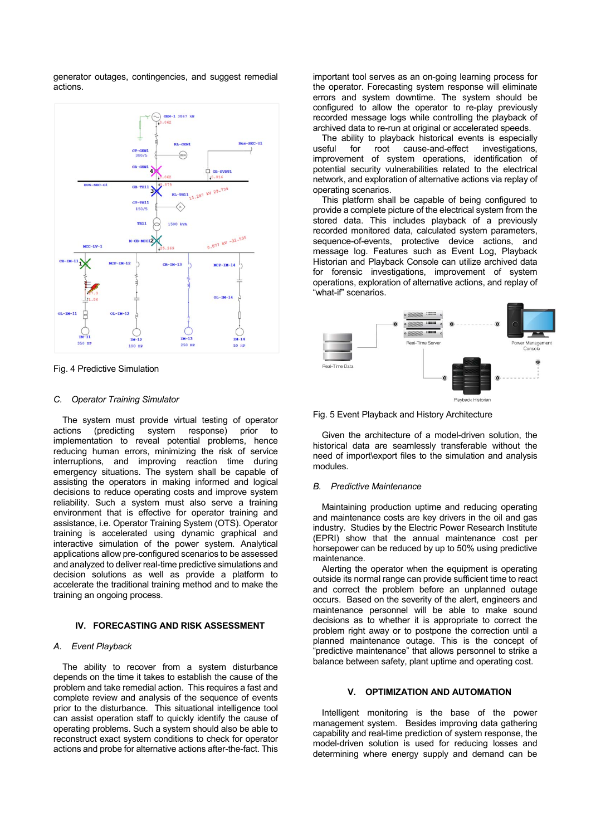generator outages, contingencies, and suggest remedial actions.



Fig. 4 Predictive Simulation

#### *C. Operator Training Simulator*

The system must provide virtual testing of operator actions (predicting system response) prior to implementation to reveal potential problems, hence reducing human errors, minimizing the risk of service interruptions, and improving reaction time during emergency situations. The system shall be capable of assisting the operators in making informed and logical decisions to reduce operating costs and improve system reliability. Such a system must also serve a training environment that is effective for operator training and assistance, i.e. Operator Training System (OTS). Operator training is accelerated using dynamic graphical and interactive simulation of the power system. Analytical applications allow pre-configured scenarios to be assessed and analyzed to deliver real-time predictive simulations and decision solutions as well as provide a platform to accelerate the traditional training method and to make the training an ongoing process.

## **IV. FORECASTING AND RISK ASSESSMENT**

#### *A. Event Playback*

The ability to recover from a system disturbance depends on the time it takes to establish the cause of the problem and take remedial action. This requires a fast and complete review and analysis of the sequence of events prior to the disturbance. This situational intelligence tool can assist operation staff to quickly identify the cause of operating problems. Such a system should also be able to reconstruct exact system conditions to check for operator actions and probe for alternative actions after-the-fact. This

important tool serves as an on-going learning process for the operator. Forecasting system response will eliminate errors and system downtime. The system should be configured to allow the operator to re-play previously recorded message logs while controlling the playback of archived data to re-run at original or accelerated speeds.

The ability to playback historical events is especially<br>reful for root cause-and-effect investigations. useful for root cause-and-effect investigations, improvement of system operations, identification of potential security vulnerabilities related to the electrical network, and exploration of alternative actions via replay of operating scenarios.

This platform shall be capable of being configured to provide a complete picture of the electrical system from the stored data. This includes playback of a previously recorded monitored data, calculated system parameters, sequence-of-events, protective device actions, and message log. Features such as Event Log, Playback Historian and Playback Console can utilize archived data for forensic investigations, improvement of system operations, exploration of alternative actions, and replay of "what-if" scenarios.



Fig. 5 Event Playback and History Architecture

Given the architecture of a model-driven solution, the historical data are seamlessly transferable without the need of import\export files to the simulation and analysis modules.

#### *B. Predictive Maintenance*

Maintaining production uptime and reducing operating and maintenance costs are key drivers in the oil and gas industry. Studies by the Electric Power Research Institute (EPRI) show that the annual maintenance cost per horsepower can be reduced by up to 50% using predictive maintenance.

Alerting the operator when the equipment is operating outside its normal range can provide sufficient time to react and correct the problem before an unplanned outage occurs. Based on the severity of the alert, engineers and maintenance personnel will be able to make sound decisions as to whether it is appropriate to correct the problem right away or to postpone the correction until a planned maintenance outage. This is the concept of "predictive maintenance" that allows personnel to strike a balance between safety, plant uptime and operating cost.

## **V. OPTIMIZATION AND AUTOMATION**

Intelligent monitoring is the base of the power management system. Besides improving data gathering capability and real-time prediction of system response, the model-driven solution is used for reducing losses and determining where energy supply and demand can be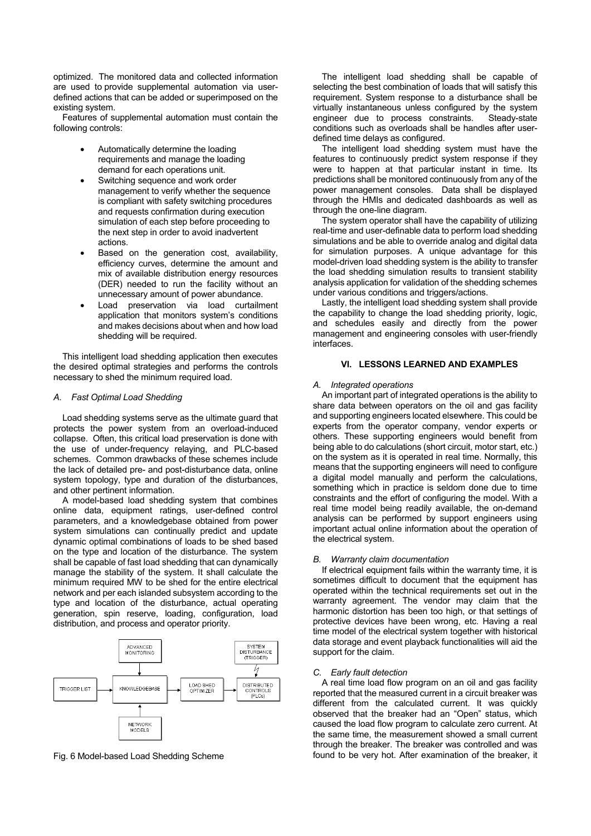optimized. The monitored data and collected information are used to provide supplemental automation via userdefined actions that can be added or superimposed on the existing system.

Features of supplemental automation must contain the following controls:

- Automatically determine the loading requirements and manage the loading demand for each operations unit.
- Switching sequence and work order management to verify whether the sequence is compliant with safety switching procedures and requests confirmation during execution simulation of each step before proceeding to the next step in order to avoid inadvertent actions.
- Based on the generation cost, availability, efficiency curves, determine the amount and mix of available distribution energy resources (DER) needed to run the facility without an unnecessary amount of power abundance.
- Load preservation via load curtailment application that monitors system's conditions and makes decisions about when and how load shedding will be required.

This intelligent load shedding application then executes the desired optimal strategies and performs the controls necessary to shed the minimum required load.

## *A. Fast Optimal Load Shedding*

Load shedding systems serve as the ultimate guard that protects the power system from an overload-induced collapse. Often, this critical load preservation is done with the use of under-frequency relaying, and PLC-based schemes. Common drawbacks of these schemes include the lack of detailed pre- and post-disturbance data, online system topology, type and duration of the disturbances, and other pertinent information.

A model-based load shedding system that combines online data, equipment ratings, user-defined control parameters, and a knowledgebase obtained from power system simulations can continually predict and update dynamic optimal combinations of loads to be shed based on the type and location of the disturbance. The system shall be capable of fast load shedding that can dynamically manage the stability of the system. It shall calculate the minimum required MW to be shed for the entire electrical network and per each islanded subsystem according to the type and location of the disturbance, actual operating generation, spin reserve, loading, configuration, load distribution, and process and operator priority.



Fig. 6 Model-based Load Shedding Scheme

The intelligent load shedding shall be capable of selecting the best combination of loads that will satisfy this requirement. System response to a disturbance shall be virtually instantaneous unless configured by the system engineer due to process constraints. Steady-state conditions such as overloads shall be handles after userdefined time delays as configured.

The intelligent load shedding system must have the features to continuously predict system response if they were to happen at that particular instant in time. Its predictions shall be monitored continuously from any of the power management consoles. Data shall be displayed through the HMIs and dedicated dashboards as well as through the one-line diagram.

The system operator shall have the capability of utilizing real-time and user-definable data to perform load shedding simulations and be able to override analog and digital data for simulation purposes. A unique advantage for this model-driven load shedding system is the ability to transfer the load shedding simulation results to transient stability analysis application for validation of the shedding schemes under various conditions and triggers/actions.

Lastly, the intelligent load shedding system shall provide the capability to change the load shedding priority, logic, and schedules easily and directly from the power management and engineering consoles with user-friendly interfaces.

## **VI. LESSONS LEARNED AND EXAMPLES**

#### *A. Integrated operations*

An important part of integrated operations is the ability to share data between operators on the oil and gas facility and supporting engineers located elsewhere. This could be experts from the operator company, vendor experts or others. These supporting engineers would benefit from being able to do calculations (short circuit, motor start, etc.) on the system as it is operated in real time. Normally, this means that the supporting engineers will need to configure a digital model manually and perform the calculations, something which in practice is seldom done due to time constraints and the effort of configuring the model. With a real time model being readily available, the on-demand analysis can be performed by support engineers using important actual online information about the operation of the electrical system.

#### *B. Warranty claim documentation*

If electrical equipment fails within the warranty time, it is sometimes difficult to document that the equipment has operated within the technical requirements set out in the warranty agreement. The vendor may claim that the harmonic distortion has been too high, or that settings of protective devices have been wrong, etc. Having a real time model of the electrical system together with historical data storage and event playback functionalities will aid the support for the claim.

#### *C. Early fault detection*

A real time load flow program on an oil and gas facility reported that the measured current in a circuit breaker was different from the calculated current. It was quickly observed that the breaker had an "Open" status, which caused the load flow program to calculate zero current. At the same time, the measurement showed a small current through the breaker. The breaker was controlled and was found to be very hot. After examination of the breaker, it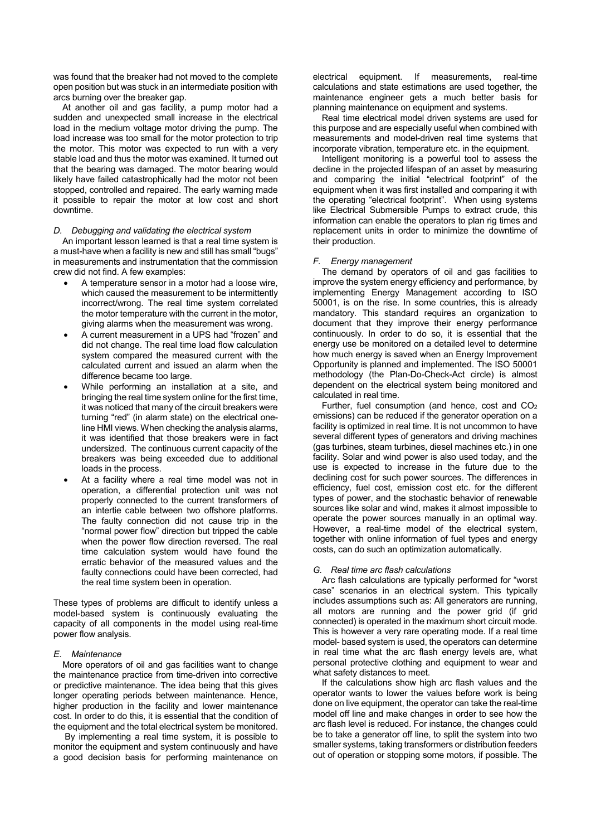was found that the breaker had not moved to the complete open position but was stuck in an intermediate position with arcs burning over the breaker gap.

At another oil and gas facility, a pump motor had a sudden and unexpected small increase in the electrical load in the medium voltage motor driving the pump. The load increase was too small for the motor protection to trip the motor. This motor was expected to run with a very stable load and thus the motor was examined. It turned out that the bearing was damaged. The motor bearing would likely have failed catastrophically had the motor not been stopped, controlled and repaired. The early warning made it possible to repair the motor at low cost and short downtime.

## *D. Debugging and validating the electrical system*

An important lesson learned is that a real time system is a must-have when a facility is new and still has small "bugs" in measurements and instrumentation that the commission crew did not find. A few examples:

- A temperature sensor in a motor had a loose wire, which caused the measurement to be intermittently incorrect/wrong. The real time system correlated the motor temperature with the current in the motor, giving alarms when the measurement was wrong.
- A current measurement in a UPS had "frozen" and did not change. The real time load flow calculation system compared the measured current with the calculated current and issued an alarm when the difference became too large.
- While performing an installation at a site, and bringing the real time system online for the first time, it was noticed that many of the circuit breakers were turning "red" (in alarm state) on the electrical oneline HMI views. When checking the analysis alarms, it was identified that those breakers were in fact undersized. The continuous current capacity of the breakers was being exceeded due to additional loads in the process.
- At a facility where a real time model was not in operation, a differential protection unit was not properly connected to the current transformers of an intertie cable between two offshore platforms. The faulty connection did not cause trip in the "normal power flow" direction but tripped the cable when the power flow direction reversed. The real time calculation system would have found the erratic behavior of the measured values and the faulty connections could have been corrected, had the real time system been in operation.

These types of problems are difficult to identify unless a model-based system is continuously evaluating the capacity of all components in the model using real-time power flow analysis.

#### *E. Maintenance*

More operators of oil and gas facilities want to change the maintenance practice from time-driven into corrective or predictive maintenance. The idea being that this gives longer operating periods between maintenance. Hence, higher production in the facility and lower maintenance cost. In order to do this, it is essential that the condition of the equipment and the total electrical system be monitored.

 By implementing a real time system, it is possible to monitor the equipment and system continuously and have a good decision basis for performing maintenance on electrical equipment. If measurements, real-time calculations and state estimations are used together, the maintenance engineer gets a much better basis for planning maintenance on equipment and systems.

Real time electrical model driven systems are used for this purpose and are especially useful when combined with measurements and model-driven real time systems that incorporate vibration, temperature etc. in the equipment.

Intelligent monitoring is a powerful tool to assess the decline in the projected lifespan of an asset by measuring and comparing the initial "electrical footprint" of the equipment when it was first installed and comparing it with the operating "electrical footprint". When using systems like Electrical Submersible Pumps to extract crude, this information can enable the operators to plan rig times and replacement units in order to minimize the downtime of their production.

#### *F. Energy management*

The demand by operators of oil and gas facilities to improve the system energy efficiency and performance, by implementing Energy Management according to ISO 50001, is on the rise. In some countries, this is already mandatory. This standard requires an organization to document that they improve their energy performance continuously. In order to do so, it is essential that the energy use be monitored on a detailed level to determine how much energy is saved when an Energy Improvement Opportunity is planned and implemented. The ISO 50001 methodology (the Plan-Do-Check-Act circle) is almost dependent on the electrical system being monitored and calculated in real time.

Further, fuel consumption (and hence, cost and CO2 emissions) can be reduced if the generator operation on a facility is optimized in real time. It is not uncommon to have several different types of generators and driving machines (gas turbines, steam turbines, diesel machines etc.) in one facility. Solar and wind power is also used today, and the use is expected to increase in the future due to the declining cost for such power sources. The differences in efficiency, fuel cost, emission cost etc. for the different types of power, and the stochastic behavior of renewable sources like solar and wind, makes it almost impossible to operate the power sources manually in an optimal way. However, a real-time model of the electrical system, together with online information of fuel types and energy costs, can do such an optimization automatically.

#### *G. Real time arc flash calculations*

Arc flash calculations are typically performed for "worst case" scenarios in an electrical system. This typically includes assumptions such as: All generators are running, all motors are running and the power grid (if grid connected) is operated in the maximum short circuit mode. This is however a very rare operating mode. If a real time model- based system is used, the operators can determine in real time what the arc flash energy levels are, what personal protective clothing and equipment to wear and what safety distances to meet.

If the calculations show high arc flash values and the operator wants to lower the values before work is being done on live equipment, the operator can take the real-time model off line and make changes in order to see how the arc flash level is reduced. For instance, the changes could be to take a generator off line, to split the system into two smaller systems, taking transformers or distribution feeders out of operation or stopping some motors, if possible. The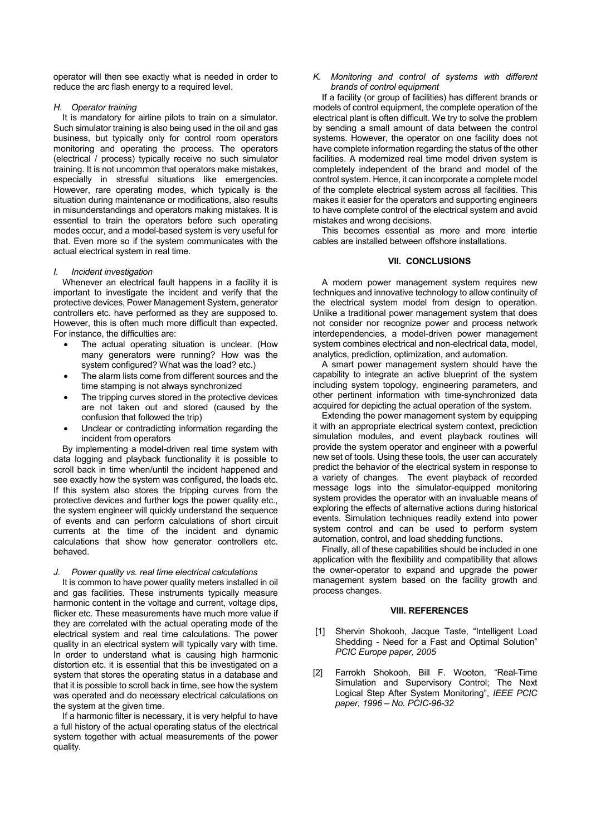operator will then see exactly what is needed in order to reduce the arc flash energy to a required level.

## *H. Operator training*

It is mandatory for airline pilots to train on a simulator. Such simulator training is also being used in the oil and gas business, but typically only for control room operators monitoring and operating the process. The operators (electrical / process) typically receive no such simulator training. It is not uncommon that operators make mistakes, especially in stressful situations like emergencies. However, rare operating modes, which typically is the situation during maintenance or modifications, also results in misunderstandings and operators making mistakes. It is essential to train the operators before such operating modes occur, and a model-based system is very useful for that. Even more so if the system communicates with the actual electrical system in real time.

#### *I. Incident investigation*

Whenever an electrical fault happens in a facility it is important to investigate the incident and verify that the protective devices, Power Management System, generator controllers etc. have performed as they are supposed to. However, this is often much more difficult than expected. For instance, the difficulties are:

- The actual operating situation is unclear. (How many generators were running? How was the system configured? What was the load? etc.)
- The alarm lists come from different sources and the time stamping is not always synchronized
- The tripping curves stored in the protective devices are not taken out and stored (caused by the confusion that followed the trip)
- Unclear or contradicting information regarding the incident from operators

By implementing a model-driven real time system with data logging and playback functionality it is possible to scroll back in time when/until the incident happened and see exactly how the system was configured, the loads etc. If this system also stores the tripping curves from the protective devices and further logs the power quality etc., the system engineer will quickly understand the sequence of events and can perform calculations of short circuit currents at the time of the incident and dynamic calculations that show how generator controllers etc. behaved.

## *J. Power quality vs. real time electrical calculations*

It is common to have power quality meters installed in oil and gas facilities. These instruments typically measure harmonic content in the voltage and current, voltage dips, flicker etc. These measurements have much more value if they are correlated with the actual operating mode of the electrical system and real time calculations. The power quality in an electrical system will typically vary with time. In order to understand what is causing high harmonic distortion etc. it is essential that this be investigated on a system that stores the operating status in a database and that it is possible to scroll back in time, see how the system was operated and do necessary electrical calculations on the system at the given time.

If a harmonic filter is necessary, it is very helpful to have a full history of the actual operating status of the electrical system together with actual measurements of the power quality.

#### *K. Monitoring and control of systems with different brands of control equipment*

If a facility (or group of facilities) has different brands or models of control equipment, the complete operation of the electrical plant is often difficult. We try to solve the problem by sending a small amount of data between the control systems. However, the operator on one facility does not have complete information regarding the status of the other facilities. A modernized real time model driven system is completely independent of the brand and model of the control system. Hence, it can incorporate a complete model of the complete electrical system across all facilities. This makes it easier for the operators and supporting engineers to have complete control of the electrical system and avoid mistakes and wrong decisions.

This becomes essential as more and more intertie cables are installed between offshore installations.

#### **VII. CONCLUSIONS**

A modern power management system requires new techniques and innovative technology to allow continuity of the electrical system model from design to operation. Unlike a traditional power management system that does not consider nor recognize power and process network interdependencies, a model-driven power management system combines electrical and non-electrical data, model, analytics, prediction, optimization, and automation.

A smart power management system should have the capability to integrate an active blueprint of the system including system topology, engineering parameters, and other pertinent information with time-synchronized data acquired for depicting the actual operation of the system.

Extending the power management system by equipping it with an appropriate electrical system context, prediction simulation modules, and event playback routines will provide the system operator and engineer with a powerful new set of tools. Using these tools, the user can accurately predict the behavior of the electrical system in response to a variety of changes. The event playback of recorded message logs into the simulator-equipped monitoring system provides the operator with an invaluable means of exploring the effects of alternative actions during historical events. Simulation techniques readily extend into power system control and can be used to perform system automation, control, and load shedding functions.

Finally, all of these capabilities should be included in one application with the flexibility and compatibility that allows the owner-operator to expand and upgrade the power management system based on the facility growth and process changes.

#### **VIII. REFERENCES**

- [1] Shervin Shokooh, Jacque Taste, "Intelligent Load Shedding - Need for a Fast and Optimal Solution" *PCIC Europe paper, 2005*
- [2] Farrokh Shokooh, Bill F. Wooton, "Real-Time Simulation and Supervisory Control; The Next Logical Step After System Monitoring", *IEEE PCIC paper, 1996 – No. PCIC-96-32*